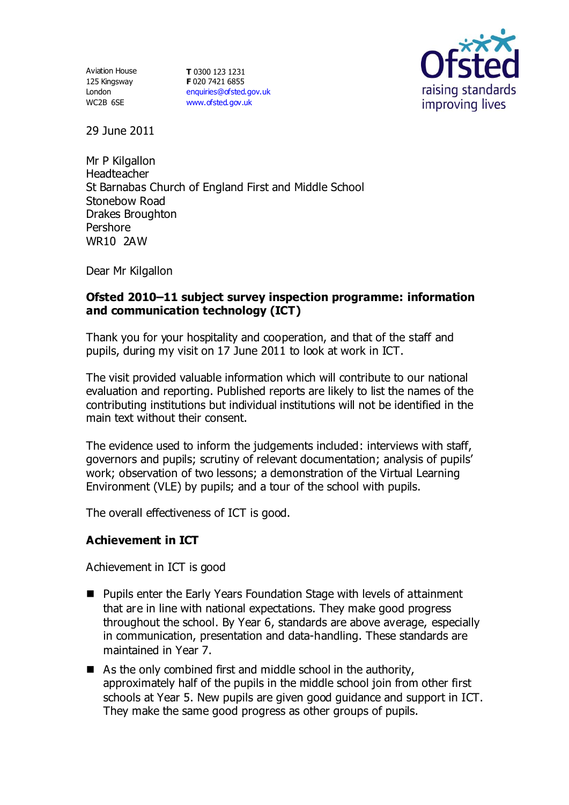125 Kingsway London WC2B 6SE

Aviation House **T** 0300 123 1231 **F** 020 7421 6855 [enquiries@ofsted.gov.uk](mailto:enquiries@ofsted.gov.uk) [www.ofsted.gov.uk](http://www.ofsted.gov.uk/)



29 June 2011

Mr P Kilgallon Headteacher St Barnabas Church of England First and Middle School Stonebow Road Drakes Broughton Pershore WR10 2AW

Dear Mr Kilgallon

### **Ofsted 2010–11 subject survey inspection programme: information and communication technology (ICT)**

Thank you for your hospitality and cooperation, and that of the staff and pupils, during my visit on 17 June 2011 to look at work in ICT.

The visit provided valuable information which will contribute to our national evaluation and reporting. Published reports are likely to list the names of the contributing institutions but individual institutions will not be identified in the main text without their consent.

The evidence used to inform the judgements included: interviews with staff, governors and pupils; scrutiny of relevant documentation; analysis of pupils' work; observation of two lessons; a demonstration of the Virtual Learning Environment (VLE) by pupils; and a tour of the school with pupils.

The overall effectiveness of ICT is good.

### **Achievement in ICT**

Achievement in ICT is good

- Pupils enter the Early Years Foundation Stage with levels of attainment that are in line with national expectations. They make good progress throughout the school. By Year 6, standards are above average, especially in communication, presentation and data-handling. These standards are maintained in Year 7.
- $\blacksquare$  As the only combined first and middle school in the authority, approximately half of the pupils in the middle school join from other first schools at Year 5. New pupils are given good guidance and support in ICT. They make the same good progress as other groups of pupils.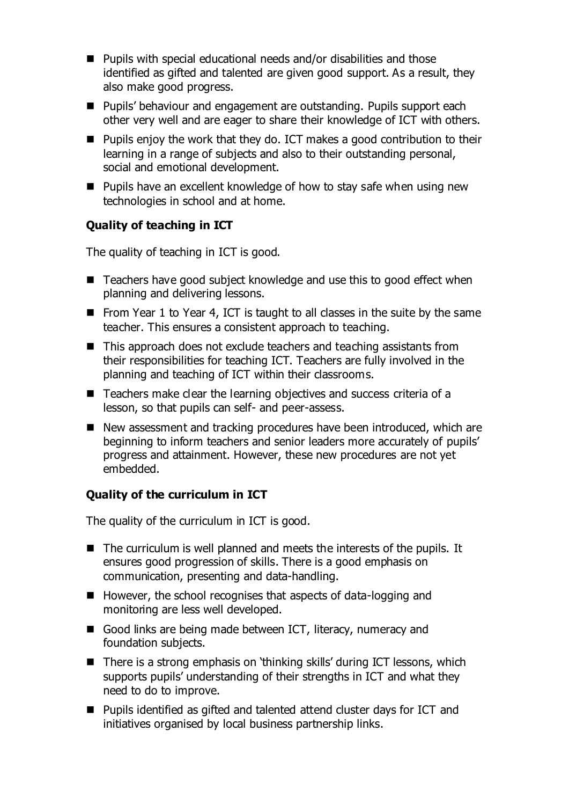- Pupils with special educational needs and/or disabilities and those identified as gifted and talented are given good support. As a result, they also make good progress.
- Pupils' behaviour and engagement are outstanding. Pupils support each other very well and are eager to share their knowledge of ICT with others.
- Pupils enjoy the work that they do. ICT makes a good contribution to their learning in a range of subjects and also to their outstanding personal, social and emotional development.
- Pupils have an excellent knowledge of how to stay safe when using new technologies in school and at home.

## **Quality of teaching in ICT**

The quality of teaching in ICT is good.

- Teachers have good subject knowledge and use this to good effect when planning and delivering lessons.
- From Year 1 to Year 4, ICT is taught to all classes in the suite by the same teacher. This ensures a consistent approach to teaching.
- This approach does not exclude teachers and teaching assistants from their responsibilities for teaching ICT. Teachers are fully involved in the planning and teaching of ICT within their classrooms.
- Teachers make clear the learning objectives and success criteria of a lesson, so that pupils can self- and peer-assess.
- New assessment and tracking procedures have been introduced, which are beginning to inform teachers and senior leaders more accurately of pupils' progress and attainment. However, these new procedures are not yet embedded.

### **Quality of the curriculum in ICT**

The quality of the curriculum in ICT is good.

- $\blacksquare$  The curriculum is well planned and meets the interests of the pupils. It ensures good progression of skills. There is a good emphasis on communication, presenting and data-handling.
- $\blacksquare$  However, the school recognises that aspects of data-logging and monitoring are less well developed.
- Good links are being made between ICT, literacy, numeracy and foundation subjects.
- There is a strong emphasis on 'thinking skills' during ICT lessons, which supports pupils' understanding of their strengths in ICT and what they need to do to improve.
- Pupils identified as gifted and talented attend cluster days for ICT and initiatives organised by local business partnership links.